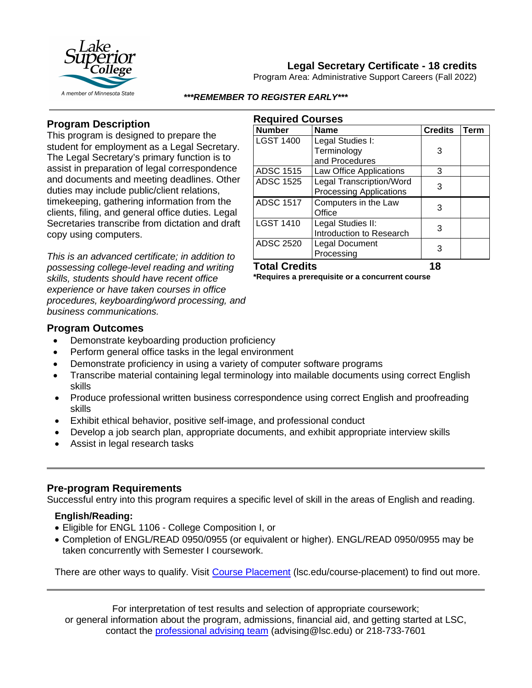

## **Legal Secretary Certificate - 18 credits**

Program Area: Administrative Support Careers (Fall 2022)

#### *\*\*\*REMEMBER TO REGISTER EARLY\*\*\**

**Required Courses**

## **Program Description**

This program is designed to prepare the student for employment as a Legal Secretary. The Legal Secretary's primary function is to assist in preparation of legal correspondence and documents and meeting deadlines. Other duties may include public/client relations, timekeeping, gathering information from the clients, filing, and general office duties. Legal Secretaries transcribe from dictation and draft copy using computers.

*This is an advanced certificate; in addition to possessing college-level reading and writing skills, students should have recent office experience or have taken courses in office procedures, keyboarding/word processing, and business communications.*

| <b>Number</b>    | <b>Name</b>                                                       | <b>Credits</b> | <b>Term</b> |
|------------------|-------------------------------------------------------------------|----------------|-------------|
| <b>LGST 1400</b> | Legal Studies I:<br>Terminology<br>and Procedures                 | 3              |             |
| <b>ADSC 1515</b> | Law Office Applications                                           | 3              |             |
| <b>ADSC 1525</b> | <b>Legal Transcription/Word</b><br><b>Processing Applications</b> | 3              |             |
| <b>ADSC 1517</b> | Computers in the Law<br>Office                                    | 3              |             |
| <b>LGST 1410</b> | Legal Studies II:<br>Introduction to Research                     | 3              |             |
| <b>ADSC 2520</b> | Legal Document<br>Processing                                      |                |             |

# **Total Credits 18**

**\*Requires a prerequisite or a concurrent course**

### **Program Outcomes**

- Demonstrate keyboarding production proficiency
- Perform general office tasks in the legal environment
- Demonstrate proficiency in using a variety of computer software programs
- Transcribe material containing legal terminology into mailable documents using correct English skills
- Produce professional written business correspondence using correct English and proofreading skills
- Exhibit ethical behavior, positive self-image, and professional conduct
- Develop a job search plan, appropriate documents, and exhibit appropriate interview skills
- Assist in legal research tasks

### **Pre-program Requirements**

Successful entry into this program requires a specific level of skill in the areas of English and reading.

## **English/Reading:**

- Eligible for ENGL 1106 College Composition I, or
- Completion of ENGL/READ 0950/0955 (or equivalent or higher). ENGL/READ 0950/0955 may be taken concurrently with Semester I coursework.

There are other ways to qualify. Visit [Course Placement](https://www.lsc.edu/course-placement/) (lsc.edu/course-placement) to find out more.

For interpretation of test results and selection of appropriate coursework; or general information about the program, admissions, financial aid, and getting started at LSC, contact the [professional advising team](mailto:advising@lsc.edu) (advising@lsc.edu) or 218-733-7601